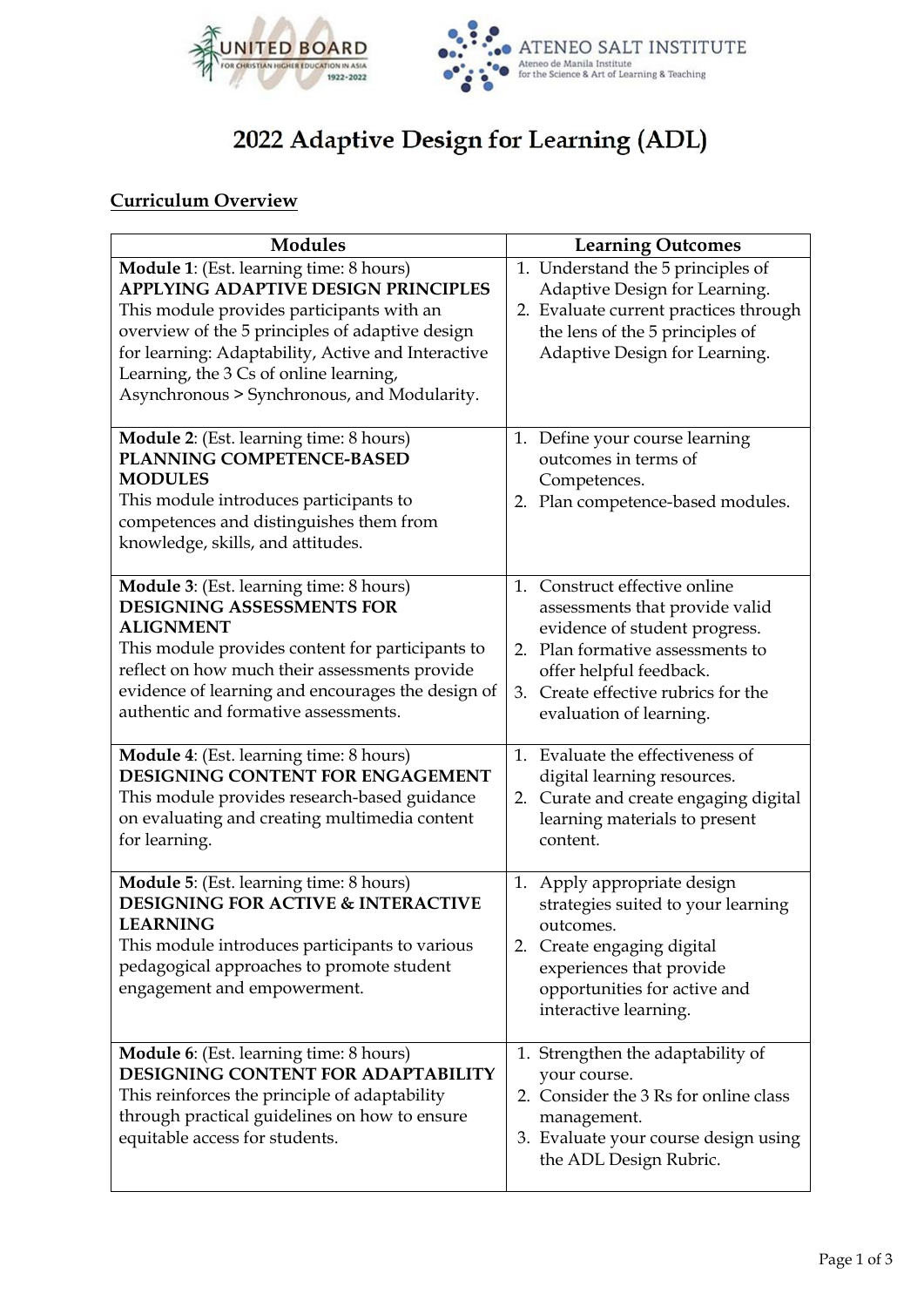



# 2022 Adaptive Design for Learning (ADL)

# **Curriculum Overview**

| <b>Modules</b>                                                                                                                                                                                                                                                                                                                | <b>Learning Outcomes</b>                                                                                                                                                                                                                |
|-------------------------------------------------------------------------------------------------------------------------------------------------------------------------------------------------------------------------------------------------------------------------------------------------------------------------------|-----------------------------------------------------------------------------------------------------------------------------------------------------------------------------------------------------------------------------------------|
| Module 1: (Est. learning time: 8 hours)<br>APPLYING ADAPTIVE DESIGN PRINCIPLES<br>This module provides participants with an<br>overview of the 5 principles of adaptive design<br>for learning: Adaptability, Active and Interactive<br>Learning, the 3 Cs of online learning,<br>Asynchronous > Synchronous, and Modularity. | 1. Understand the 5 principles of<br>Adaptive Design for Learning.<br>2. Evaluate current practices through<br>the lens of the 5 principles of<br>Adaptive Design for Learning.                                                         |
| Module 2: (Est. learning time: 8 hours)<br>PLANNING COMPETENCE-BASED<br><b>MODULES</b><br>This module introduces participants to<br>competences and distinguishes them from<br>knowledge, skills, and attitudes.                                                                                                              | 1. Define your course learning<br>outcomes in terms of<br>Competences.<br>2. Plan competence-based modules.                                                                                                                             |
| Module 3: (Est. learning time: 8 hours)<br><b>DESIGNING ASSESSMENTS FOR</b><br><b>ALIGNMENT</b><br>This module provides content for participants to<br>reflect on how much their assessments provide<br>evidence of learning and encourages the design of<br>authentic and formative assessments.                             | 1. Construct effective online<br>assessments that provide valid<br>evidence of student progress.<br>Plan formative assessments to<br>2.<br>offer helpful feedback.<br>Create effective rubrics for the<br>3.<br>evaluation of learning. |
| Module 4: (Est. learning time: 8 hours)<br>DESIGNING CONTENT FOR ENGAGEMENT<br>This module provides research-based guidance<br>on evaluating and creating multimedia content<br>for learning.                                                                                                                                 | 1. Evaluate the effectiveness of<br>digital learning resources.<br>Curate and create engaging digital<br>2.<br>learning materials to present<br>content.                                                                                |
| Module 5: (Est. learning time: 8 hours)<br><b>DESIGNING FOR ACTIVE &amp; INTERACTIVE</b><br><b>LEARNING</b><br>This module introduces participants to various<br>pedagogical approaches to promote student<br>engagement and empowerment.                                                                                     | Apply appropriate design<br>1.<br>strategies suited to your learning<br>outcomes.<br>2. Create engaging digital<br>experiences that provide<br>opportunities for active and<br>interactive learning.                                    |
| <b>Module 6:</b> (Est. learning time: 8 hours)<br>DESIGNING CONTENT FOR ADAPTABILITY<br>This reinforces the principle of adaptability<br>through practical guidelines on how to ensure<br>equitable access for students.                                                                                                      | 1. Strengthen the adaptability of<br>your course.<br>2. Consider the 3 Rs for online class<br>management.<br>3. Evaluate your course design using<br>the ADL Design Rubric.                                                             |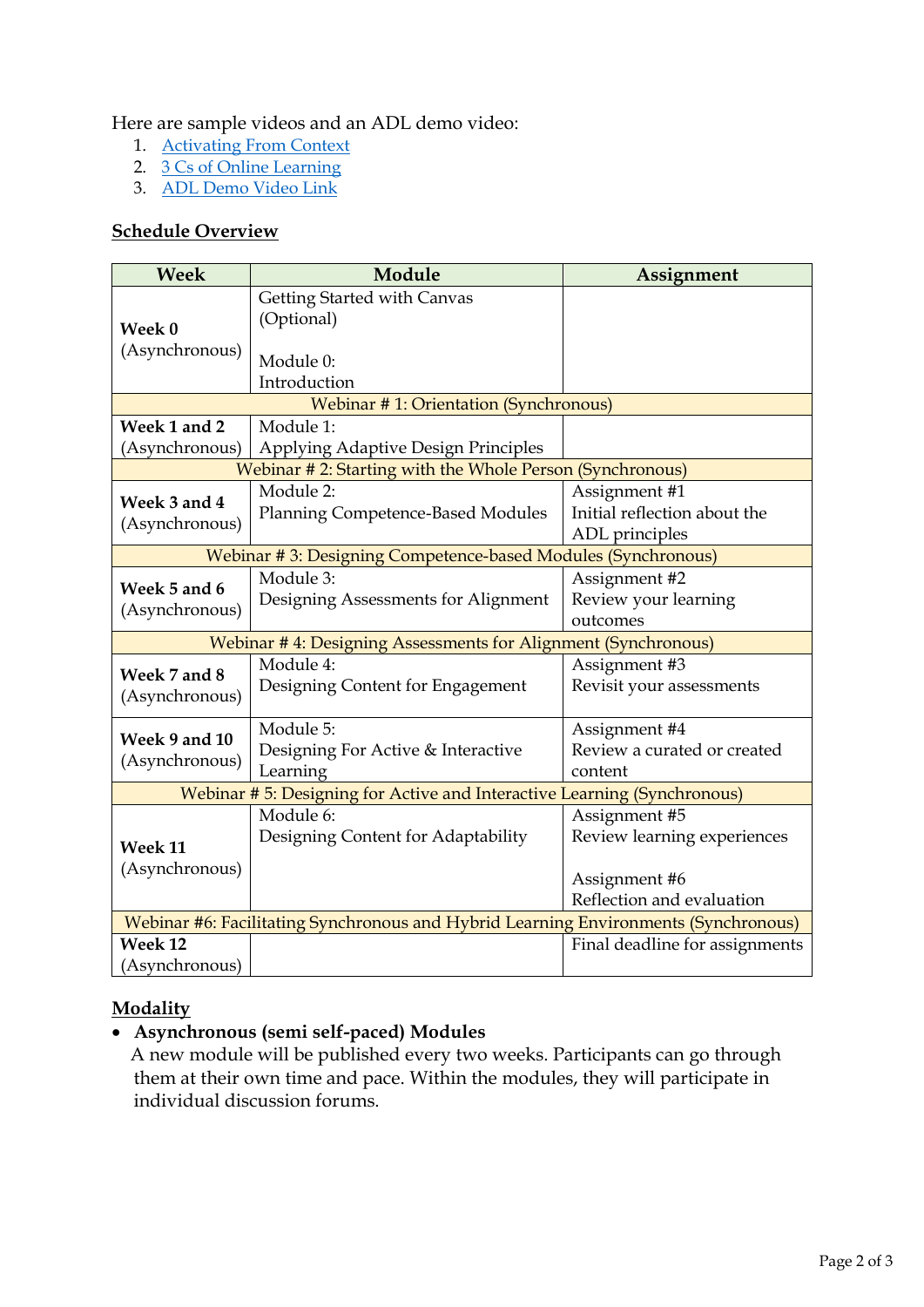#### Here are sample videos and an ADL demo video:

- 1. [Activating From Context](https://www.youtube.com/watch?v=mP3l628WZQo&t=27s)
- 2. [3 Cs of Online Learning](https://youtu.be/sOxHyKrf9Wo)
- 3. ADL [Demo Video Link](https://drive.google.com/file/d/1v1AkHzwFdyjEiGpbq2GCcScB6sc1Q1Li/view?usp=shar)

#### **Schedule Overview**

| <b>Week</b>                                                                         | Module                                   | Assignment                     |
|-------------------------------------------------------------------------------------|------------------------------------------|--------------------------------|
|                                                                                     | Getting Started with Canvas              |                                |
| Week 0                                                                              | (Optional)                               |                                |
| (Asynchronous)                                                                      | Module 0:<br>Introduction                |                                |
| Webinar #1: Orientation (Synchronous)                                               |                                          |                                |
| Week 1 and 2                                                                        | Module 1:                                |                                |
| (Asynchronous)                                                                      | Applying Adaptive Design Principles      |                                |
| Webinar #2: Starting with the Whole Person (Synchronous)                            |                                          |                                |
| Week 3 and 4<br>(Asynchronous)                                                      | Module 2:                                | Assignment #1                  |
|                                                                                     | <b>Planning Competence-Based Modules</b> | Initial reflection about the   |
|                                                                                     |                                          | ADL principles                 |
| Webinar #3: Designing Competence-based Modules (Synchronous)                        |                                          |                                |
| Week 5 and 6                                                                        | Module 3:                                | Assignment #2                  |
| (Asynchronous)                                                                      | Designing Assessments for Alignment      | Review your learning           |
|                                                                                     |                                          | outcomes                       |
| Webinar #4: Designing Assessments for Alignment (Synchronous)                       |                                          |                                |
| Week 7 and 8                                                                        | Module 4:                                | Assignment #3                  |
| (Asynchronous)                                                                      | Designing Content for Engagement         | Revisit your assessments       |
| Week 9 and 10<br>(Asynchronous)                                                     | Module 5:                                | Assignment #4                  |
|                                                                                     | Designing For Active & Interactive       | Review a curated or created    |
|                                                                                     | Learning                                 | content                        |
| Webinar # 5: Designing for Active and Interactive Learning (Synchronous)            |                                          |                                |
|                                                                                     | Module 6:                                | Assignment #5                  |
| Week 11                                                                             | Designing Content for Adaptability       | Review learning experiences    |
| (Asynchronous)                                                                      |                                          |                                |
|                                                                                     |                                          | Assignment #6                  |
|                                                                                     |                                          | Reflection and evaluation      |
| Webinar #6: Facilitating Synchronous and Hybrid Learning Environments (Synchronous) |                                          |                                |
| Week 12                                                                             |                                          | Final deadline for assignments |
| (Asynchronous)                                                                      |                                          |                                |

#### **Modality**

# • **Asynchronous (semi self-paced) Modules**

A new module will be published every two weeks. Participants can go through them at their own time and pace. Within the modules, they will participate in individual discussion forums.